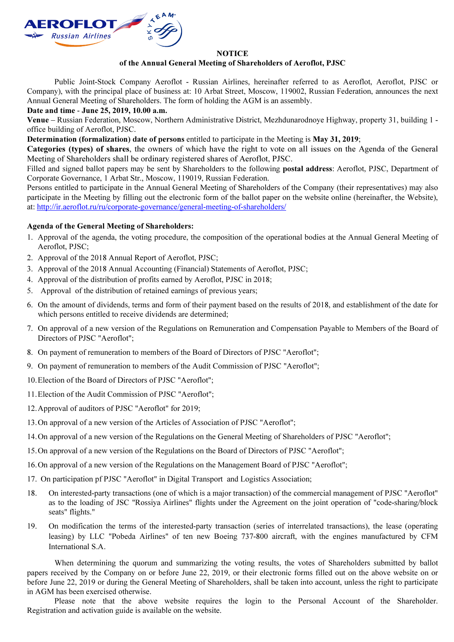

#### **NOTICE**

## of the Annual General Meeting of Shareholders of Aeroflot, PJSC

Public Joint-Stock Company Aeroflot - Russian Airlines, hereinafter referred to as Aeroflot, Aeroflot, PJSC or Company), with the principal place of business at: 10 Arbat Street, Moscow, 119002, Russian Federation, announces the next Annual General Meeting of Shareholders. The form of holding the AGM is an assembly.

Date and time - June 25, 2019, 10.00 a.m.

Venue – Russian Federation, Moscow, Northern Administrative District, Mezhdunarodnoye Highway, property 31, building 1 office building of Aeroflot, PJSC.

Determination (formalization) date of persons entitled to participate in the Meeting is May 31, 2019;

Categories (types) of shares, the owners of which have the right to vote on all issues on the Agenda of the General Meeting of Shareholders shall be ordinary registered shares of Aeroflot, PJSC.

Filled and signed ballot papers may be sent by Shareholders to the following **postal address**: Aeroflot, PJSC, Department of Corporate Governance, 1 Arbat Str., Moscow, 119019, Russian Federation.

Persons entitled to participate in the Annual General Meeting of Shareholders of the Company (their representatives) may also participate in the Meeting by filling out the electronic form of the ballot paper on the website online (hereinafter, the Website), at: http://ir.aeroflot.ru/ru/corporate-governance/general-meeting-of-shareholders/

# Agenda of the General Meeting of Shareholders:

- 1. Approval of the agenda, the voting procedure, the composition of the operational bodies at the Annual General Meeting of Aeroflot, PJSC;
- 2. Approval of the 2018 Annual Report of Aeroflot, PJSC;
- 3. Approval of the 2018 Annual Accounting (Financial) Statements of Aeroflot, PJSC;
- 4. Approval of the distribution of profits earned by Aeroflot, PJSC in 2018;
- 5. Approval of the distribution of retained earnings of previous years;
- 6. On the amount of dividends, terms and form of their payment based on the results of 2018, and establishment of the date for which persons entitled to receive dividends are determined;
- 7. On approval of a new version of the Regulations on Remuneration and Compensation Payable to Members of the Board of Directors of PJSC "Aeroflot";
- 8. On payment of remuneration to members of the Board of Directors of PJSC "Aeroflot";
- 9. On payment of remuneration to members of the Audit Commission of PJSC "Aeroflot";
- 10.Election of the Board of Directors of PJSC "Aeroflot";
- 11.Election of the Audit Commission of PJSC "Aeroflot";
- 12.Approval of auditors of PJSC "Aeroflot" for 2019;
- 13.On approval of a new version of the Articles of Association of PJSC "Aeroflot";
- 14.On approval of a new version of the Regulations on the General Meeting of Shareholders of PJSC "Aeroflot";
- 15.On approval of a new version of the Regulations on the Board of Directors of PJSC "Aeroflot";
- 16.On approval of a new version of the Regulations on the Management Board of PJSC "Aeroflot";
- 17. On participation pf PJSC "Aeroflot" in Digital Transport and Logistics Association;
- 18. On interested-party transactions (one of which is a major transaction) of the commercial management of PJSC "Aeroflot" as to the loading of JSC "Rossiya Airlines" flights under the Agreement on the joint operation of "code-sharing/block seats" flights."
- 19. On modification the terms of the interested-party transaction (series of interrelated transactions), the lease (operating leasing) by LLC "Pobeda Airlines" of ten new Boeing 737-800 aircraft, with the engines manufactured by CFM International S.A.

When determining the quorum and summarizing the voting results, the votes of Shareholders submitted by ballot papers received by the Company on or before June 22, 2019, or their electronic forms filled out on the above website on or before June 22, 2019 or during the General Meeting of Shareholders, shall be taken into account, unless the right to participate in AGM has been exercised otherwise.

Please note that the above website requires the login to the Personal Account of the Shareholder. Registration and activation guide is available on the website.